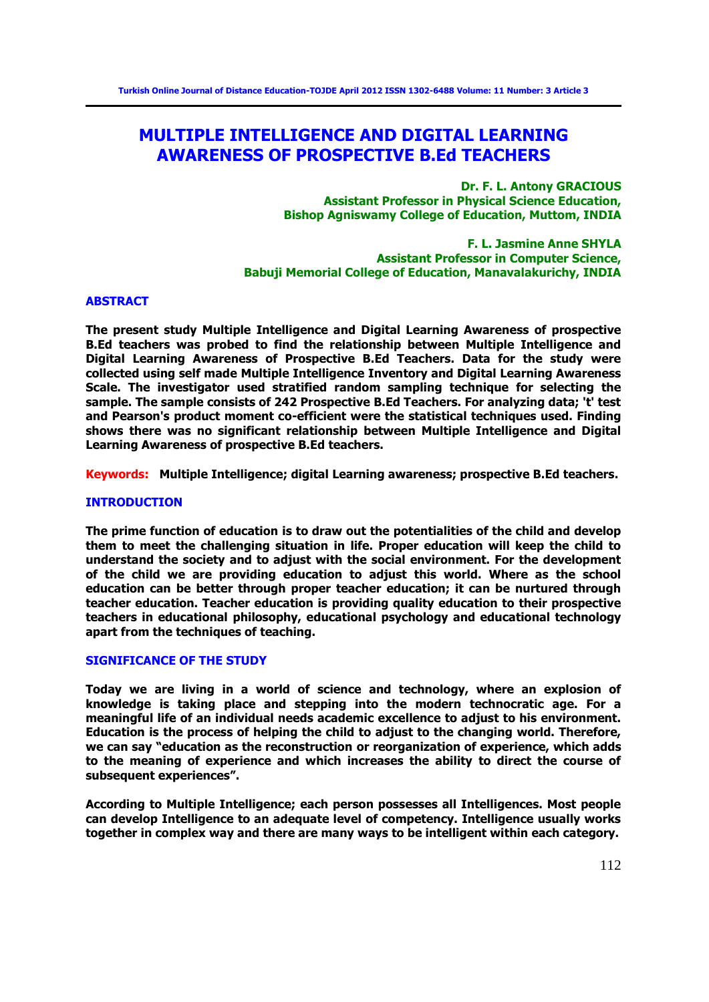# **MULTIPLE INTELLIGENCE AND DIGITAL LEARNING AWARENESS OF PROSPECTIVE B.Ed TEACHERS**

**Dr. F. L. Antony GRACIOUS Assistant Professor in Physical Science Education, Bishop Agniswamy College of Education, Muttom, INDIA** 

**F. L. Jasmine Anne SHYLA Assistant Professor in Computer Science, Babuji Memorial College of Education, Manavalakurichy, INDIA** 

#### **ABSTRACT**

**The present study Multiple Intelligence and Digital Learning Awareness of prospective B.Ed teachers was probed to find the relationship between Multiple Intelligence and Digital Learning Awareness of Prospective B.Ed Teachers. Data for the study were collected using self made Multiple Intelligence Inventory and Digital Learning Awareness Scale. The investigator used stratified random sampling technique for selecting the sample. The sample consists of 242 Prospective B.Ed Teachers. For analyzing data; 't' test and Pearson's product moment co-efficient were the statistical techniques used. Finding shows there was no significant relationship between Multiple Intelligence and Digital Learning Awareness of prospective B.Ed teachers.** 

**Keywords: Multiple Intelligence; digital Learning awareness; prospective B.Ed teachers.** 

#### **INTRODUCTION**

**The prime function of education is to draw out the potentialities of the child and develop them to meet the challenging situation in life. Proper education will keep the child to understand the society and to adjust with the social environment. For the development of the child we are providing education to adjust this world. Where as the school education can be better through proper teacher education; it can be nurtured through teacher education. Teacher education is providing quality education to their prospective teachers in educational philosophy, educational psychology and educational technology apart from the techniques of teaching.** 

#### **SIGNIFICANCE OF THE STUDY**

**Today we are living in a world of science and technology, where an explosion of knowledge is taking place and stepping into the modern technocratic age. For a meaningful life of an individual needs academic excellence to adjust to his environment. Education is the process of helping the child to adjust to the changing world. Therefore, we can say "education as the reconstruction or reorganization of experience, which adds to the meaning of experience and which increases the ability to direct the course of subsequent experiences".** 

**According to Multiple Intelligence; each person possesses all Intelligences. Most people can develop Intelligence to an adequate level of competency. Intelligence usually works together in complex way and there are many ways to be intelligent within each category.**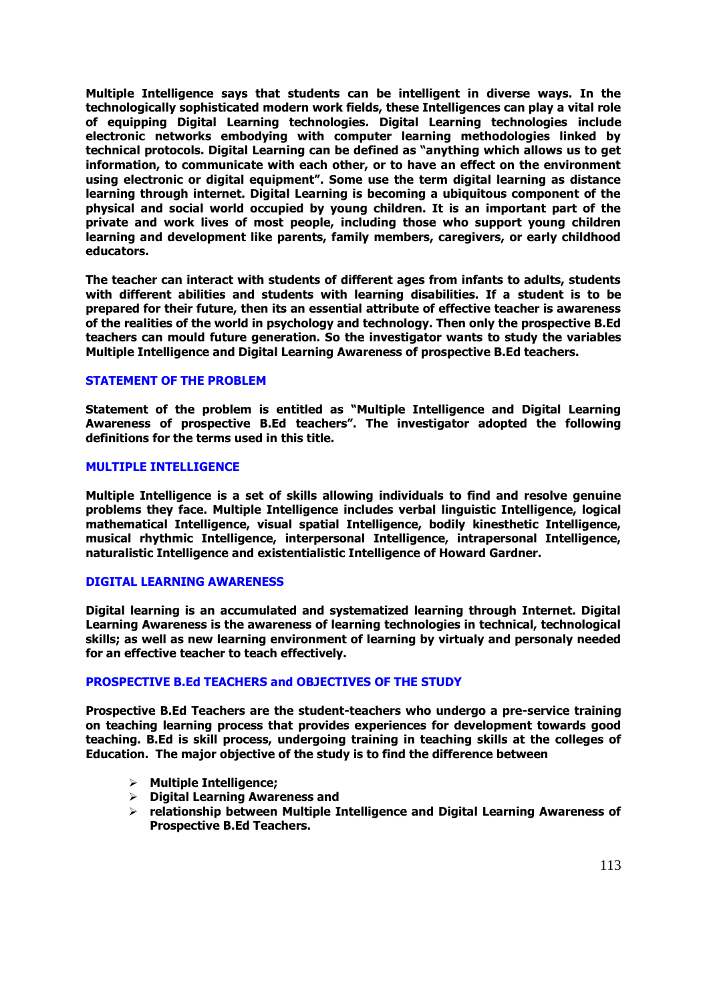**Multiple Intelligence says that students can be intelligent in diverse ways. In the technologically sophisticated modern work fields, these Intelligences can play a vital role of equipping Digital Learning technologies. Digital Learning technologies include electronic networks embodying with computer learning methodologies linked by technical protocols. Digital Learning can be defined as "anything which allows us to get information, to communicate with each other, or to have an effect on the environment using electronic or digital equipment". Some use the term digital learning as distance learning through internet. Digital Learning is becoming a ubiquitous component of the physical and social world occupied by young children. It is an important part of the private and work lives of most people, including those who support young children learning and development like parents, family members, caregivers, or early childhood educators.** 

**The teacher can interact with students of different ages from infants to adults, students with different abilities and students with learning disabilities. If a student is to be prepared for their future, then its an essential attribute of effective teacher is awareness of the realities of the world in psychology and technology. Then only the prospective B.Ed teachers can mould future generation. So the investigator wants to study the variables Multiple Intelligence and Digital Learning Awareness of prospective B.Ed teachers.** 

#### **STATEMENT OF THE PROBLEM**

**Statement of the problem is entitled as "Multiple Intelligence and Digital Learning Awareness of prospective B.Ed teachers". The investigator adopted the following definitions for the terms used in this title.** 

#### **MULTIPLE INTELLIGENCE**

**Multiple Intelligence is a set of skills allowing individuals to find and resolve genuine problems they face. Multiple Intelligence includes verbal linguistic Intelligence, logical mathematical Intelligence, visual spatial Intelligence, bodily kinesthetic Intelligence, musical rhythmic Intelligence, interpersonal Intelligence, intrapersonal Intelligence, naturalistic Intelligence and existentialistic Intelligence of Howard Gardner.** 

#### **DIGITAL LEARNING AWARENESS**

**Digital learning is an accumulated and systematized learning through Internet. Digital Learning Awareness is the awareness of learning technologies in technical, technological skills; as well as new learning environment of learning by virtualy and personaly needed for an effective teacher to teach effectively.**

#### **PROSPECTIVE B.Ed TEACHERS and OBJECTIVES OF THE STUDY**

**Prospective B.Ed Teachers are the student-teachers who undergo a pre-service training on teaching learning process that provides experiences for development towards good teaching. B.Ed is skill process, undergoing training in teaching skills at the colleges of Education. The major objective of the study is to find the difference between** 

- **Multiple Intelligence;**
- **Digital Learning Awareness and**
- **relationship between Multiple Intelligence and Digital Learning Awareness of Prospective B.Ed Teachers.**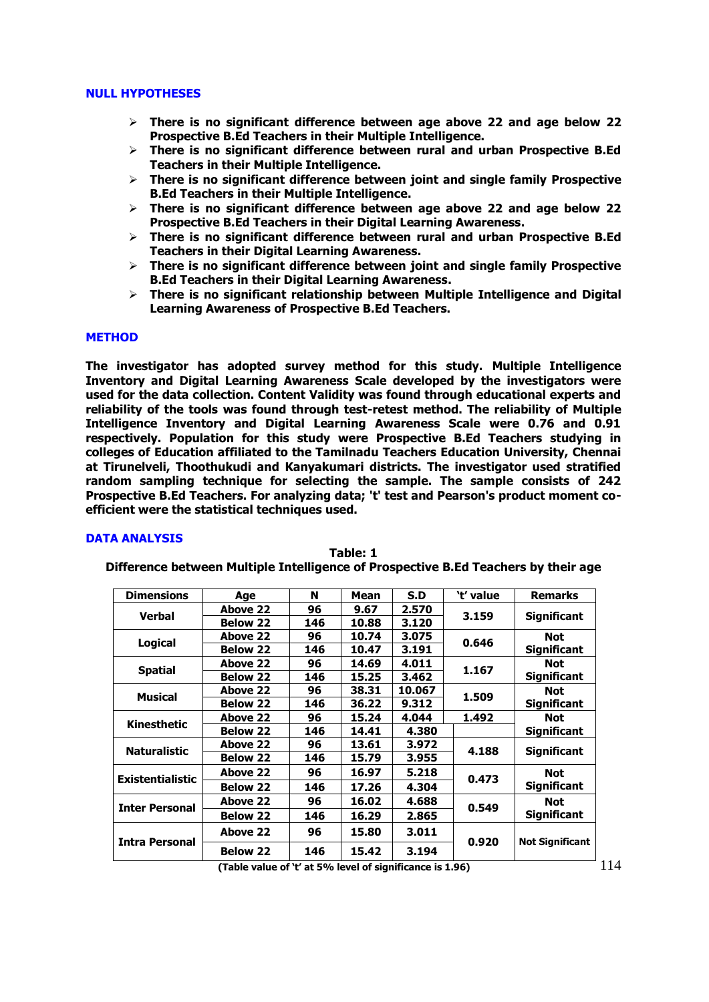#### **NULL HYPOTHESES**

- **There is no significant difference between age above 22 and age below 22 Prospective B.Ed Teachers in their Multiple Intelligence.**
- **There is no significant difference between rural and urban Prospective B.Ed Teachers in their Multiple Intelligence.**
- **There is no significant difference between joint and single family Prospective B.Ed Teachers in their Multiple Intelligence.**
- **There is no significant difference between age above 22 and age below 22 Prospective B.Ed Teachers in their Digital Learning Awareness.**
- **There is no significant difference between rural and urban Prospective B.Ed Teachers in their Digital Learning Awareness.**
- **There is no significant difference between joint and single family Prospective B.Ed Teachers in their Digital Learning Awareness.**
- **There is no significant relationship between Multiple Intelligence and Digital Learning Awareness of Prospective B.Ed Teachers.**

### **METHOD**

**The investigator has adopted survey method for this study. Multiple Intelligence Inventory and Digital Learning Awareness Scale developed by the investigators were used for the data collection. Content Validity was found through educational experts and reliability of the tools was found through test-retest method. The reliability of Multiple Intelligence Inventory and Digital Learning Awareness Scale were 0.76 and 0.91 respectively. Population for this study were Prospective B.Ed Teachers studying in colleges of Education affiliated to the Tamilnadu Teachers Education University, Chennai at Tirunelveli, Thoothukudi and Kanyakumari districts. The investigator used stratified random sampling technique for selecting the sample. The sample consists of 242 Prospective B.Ed Teachers. For analyzing data; 't' test and Pearson's product moment coefficient were the statistical techniques used.** 

#### **DATA ANALYSIS**

| <b>Dimensions</b>       | Age             | N   | Mean  | S.D    | `t' value | Remarks                |
|-------------------------|-----------------|-----|-------|--------|-----------|------------------------|
| Verbal                  | Above 22        | 96  | 9.67  | 2.570  |           |                        |
|                         | <b>Below 22</b> | 146 | 10.88 | 3.120  | 3.159     | <b>Significant</b>     |
|                         | Above 22        | 96  | 10.74 | 3.075  | 0.646     | <b>Not</b>             |
| <b>Logical</b>          | <b>Below 22</b> | 146 | 10.47 | 3.191  |           | <b>Significant</b>     |
| <b>Spatial</b>          | Above 22        | 96  | 14.69 | 4.011  | 1.167     | <b>Not</b>             |
|                         | <b>Below 22</b> | 146 | 15.25 | 3.462  |           | <b>Significant</b>     |
| <b>Musical</b>          | Above 22        | 96  | 38.31 | 10.067 | 1.509     | <b>Not</b>             |
|                         | <b>Below 22</b> | 146 | 36.22 | 9.312  |           | <b>Significant</b>     |
| Kinesthetic             | Above 22        | 96  | 15.24 | 4.044  | 1.492     | <b>Not</b>             |
|                         | <b>Below 22</b> | 146 | 14.41 | 4.380  |           | <b>Significant</b>     |
| <b>Naturalistic</b>     | Above 22        | 96  | 13.61 | 3.972  | 4.188     | <b>Significant</b>     |
|                         | <b>Below 22</b> | 146 | 15.79 | 3.955  |           |                        |
| <b>Existentialistic</b> | Above 22        | 96  | 16.97 | 5.218  | 0.473     | <b>Not</b>             |
|                         | <b>Below 22</b> | 146 | 17.26 | 4.304  |           | <b>Significant</b>     |
|                         | Above 22        | 96  | 16.02 | 4.688  |           | <b>Not</b>             |
| <b>Inter Personal</b>   | <b>Below 22</b> | 146 | 16.29 | 2.865  | 0.549     | <b>Significant</b>     |
| <b>Intra Personal</b>   | Above 22        | 96  | 15.80 | 3.011  | 0.920     | <b>Not Significant</b> |
|                         | <b>Below 22</b> | 146 | 15.42 | 3.194  |           |                        |

**Table: 1** 

**Difference between Multiple Intelligence of Prospective B.Ed Teachers by their age** 

**(Table value of 't' at 5% level of significance is 1.96)**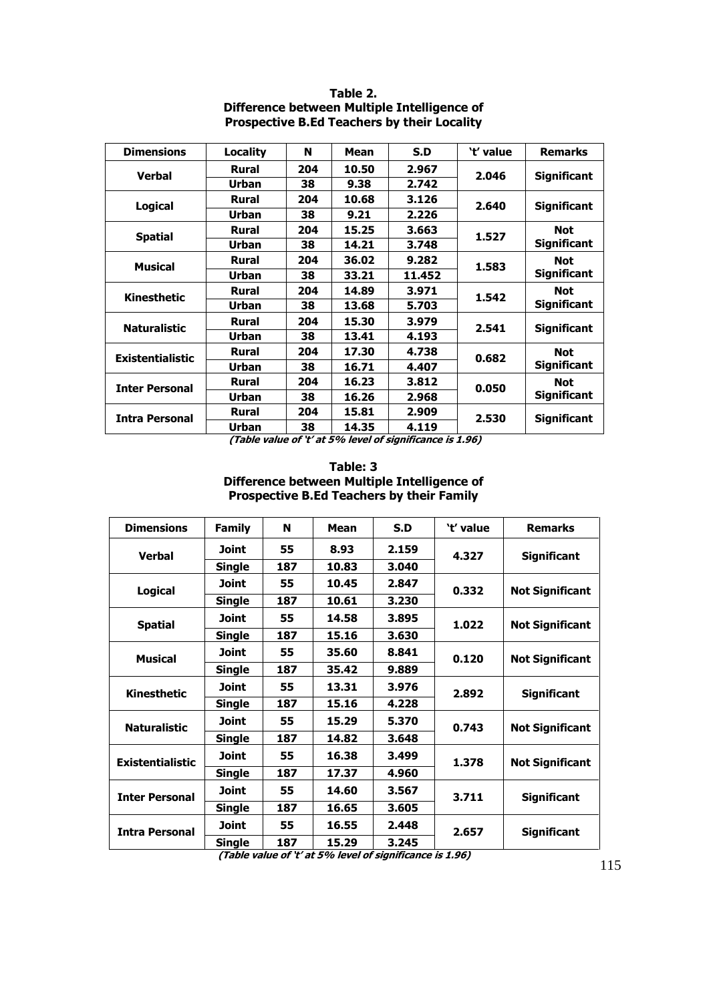| <b>Dimensions</b>       | <b>Locality</b> | N   | Mean  | S.D    | 't' value | <b>Remarks</b>     |  |
|-------------------------|-----------------|-----|-------|--------|-----------|--------------------|--|
| <b>Verbal</b>           | <b>Rural</b>    | 204 | 10.50 | 2.967  | 2.046     | <b>Significant</b> |  |
|                         | <b>Urban</b>    | 38  | 9.38  | 2.742  |           |                    |  |
| <b>Logical</b>          | <b>Rural</b>    | 204 | 10.68 | 3.126  | 2.640     | <b>Significant</b> |  |
|                         | <b>Urban</b>    | 38  | 9.21  | 2.226  |           |                    |  |
| <b>Spatial</b>          | <b>Rural</b>    | 204 | 15.25 | 3.663  | 1.527     | <b>Not</b>         |  |
|                         | <b>Urban</b>    | 38  | 14.21 | 3.748  |           | <b>Significant</b> |  |
| <b>Musical</b>          | <b>Rural</b>    | 204 | 36.02 | 9.282  | 1.583     | <b>Not</b>         |  |
|                         | <b>Urban</b>    | 38  | 33.21 | 11.452 |           | <b>Significant</b> |  |
| Kinesthetic             | <b>Rural</b>    | 204 | 14.89 | 3.971  | 1.542     | <b>Not</b>         |  |
|                         | <b>Urban</b>    | 38  | 13.68 | 5.703  |           | <b>Significant</b> |  |
| <b>Naturalistic</b>     | <b>Rural</b>    | 204 | 15.30 | 3.979  | 2.541     | <b>Significant</b> |  |
|                         | <b>Urban</b>    | 38  | 13.41 | 4.193  |           |                    |  |
| <b>Existentialistic</b> | <b>Rural</b>    | 204 | 17.30 | 4.738  | 0.682     | <b>Not</b>         |  |
|                         | <b>Urban</b>    | 38  | 16.71 | 4.407  |           | <b>Significant</b> |  |
| <b>Inter Personal</b>   | <b>Rural</b>    | 204 | 16.23 | 3.812  | 0.050     | <b>Not</b>         |  |
|                         | <b>Urban</b>    | 38  | 16.26 | 2.968  |           | <b>Significant</b> |  |
| <b>Intra Personal</b>   | <b>Rural</b>    | 204 | 15.81 | 2.909  | 2.530     | <b>Significant</b> |  |
|                         | <b>Urban</b>    | 38  | 14.35 | 4.119  |           |                    |  |

**Table 2. Difference between Multiple Intelligence of Prospective B.Ed Teachers by their Locality** 

**(Table value of 't' at 5% level of significance is 1.96)**

## **Table: 3 Difference between Multiple Intelligence of Prospective B.Ed Teachers by their Family**

| <b>Dimensions</b>       | <b>Family</b> | N   | Mean  | S.D   | 't' value | <b>Remarks</b>         |
|-------------------------|---------------|-----|-------|-------|-----------|------------------------|
| <b>Verbal</b>           | Joint         | 55  | 8.93  | 2.159 | 4.327     | <b>Significant</b>     |
|                         | Single        | 187 | 10.83 | 3.040 |           |                        |
| <b>Logical</b>          | Joint         | 55  | 10.45 | 2.847 | 0.332     | <b>Not Significant</b> |
|                         | <b>Single</b> | 187 | 10.61 | 3.230 |           |                        |
| <b>Spatial</b>          | Joint         | 55  | 14.58 | 3.895 | 1.022     | <b>Not Significant</b> |
|                         | <b>Single</b> | 187 | 15.16 | 3.630 |           |                        |
| <b>Musical</b>          | <b>Joint</b>  | 55  | 35.60 | 8.841 | 0.120     | <b>Not Significant</b> |
|                         | <b>Single</b> | 187 | 35.42 | 9.889 |           |                        |
| Kinesthetic             | Joint         | 55  | 13.31 | 3.976 | 2.892     | <b>Significant</b>     |
|                         | <b>Single</b> | 187 | 15.16 | 4.228 |           |                        |
| <b>Naturalistic</b>     | Joint         | 55  | 15.29 | 5.370 | 0.743     | <b>Not Significant</b> |
|                         | Single        | 187 | 14.82 | 3.648 |           |                        |
| <b>Existentialistic</b> | Joint         | 55  | 16.38 | 3.499 | 1.378     | <b>Not Significant</b> |
|                         | <b>Single</b> | 187 | 17.37 | 4.960 |           |                        |
| <b>Inter Personal</b>   | Joint         | 55  | 14.60 | 3.567 | 3.711     | <b>Significant</b>     |
|                         | Single        | 187 | 16.65 | 3.605 |           |                        |
| <b>Intra Personal</b>   | Joint         | 55  | 16.55 | 2.448 | 2.657     | <b>Significant</b>     |
|                         | <b>Single</b> | 187 | 15.29 | 3.245 |           |                        |

**(Table value of 't' at 5% level of significance is 1.96)**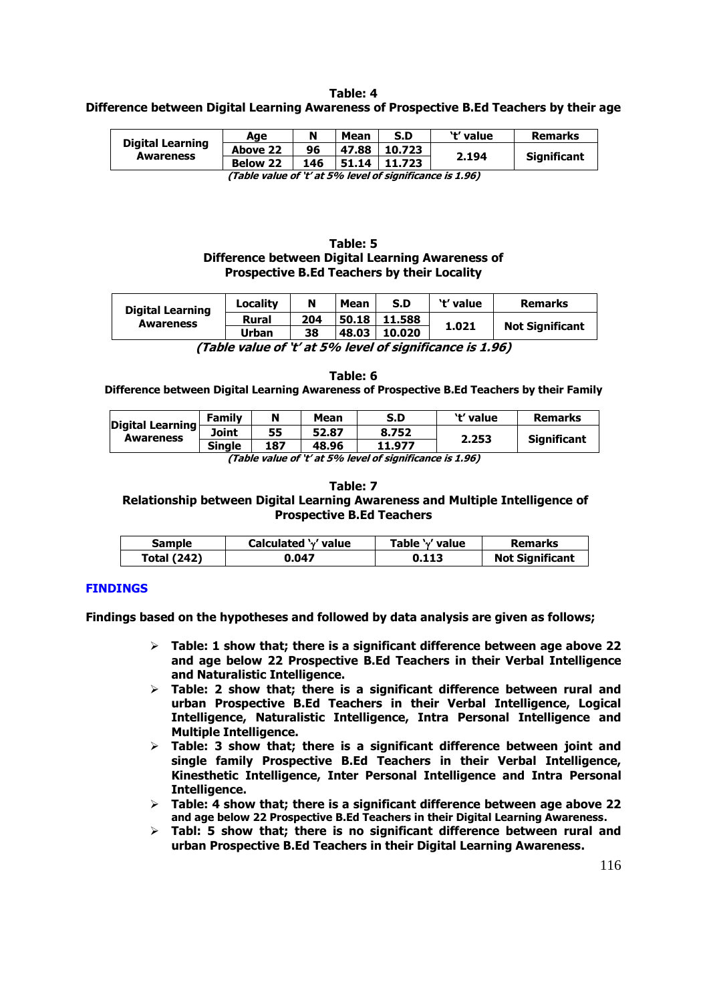## **Table: 4 Difference between Digital Learning Awareness of Prospective B.Ed Teachers by their age**

|                                                          | Aae             | N   | Mean  | S.D    | 't' value | <b>Remarks</b>     |  |
|----------------------------------------------------------|-----------------|-----|-------|--------|-----------|--------------------|--|
| <b>Digital Learning</b>                                  | Above 22        | 96  | 47.88 | 10.723 | 2.194     | <b>Significant</b> |  |
| <b>Awareness</b>                                         | <b>Below 22</b> | 146 | 51.14 | 11.723 |           |                    |  |
| (Table value of 't' at 5% level of significance is 1 96) |                 |     |       |        |           |                    |  |

**(Table value of 't' at 5% level of significance is 1.96)** 

## **Table: 5 Difference between Digital Learning Awareness of Prospective B.Ed Teachers by their Locality**

| <b>Digital Learning</b><br><b>Awareness</b> | <b>Locality</b> | N   | Mean  | S.D    | 't' value | <b>Remarks</b>         |
|---------------------------------------------|-----------------|-----|-------|--------|-----------|------------------------|
|                                             | <b>Rural</b>    | 204 | 50.18 | 11.588 | 1.021     | <b>Not Significant</b> |
|                                             | Urban           | 38  | 48.03 | 10.020 |           |                        |

**(Table value of 't' at 5% level of significance is 1.96)**

**Table: 6 Difference between Digital Learning Awareness of Prospective B.Ed Teachers by their Family** 

| Digital Learning<br>Joint<br><b>Awareness</b>                       | Family        | N   | Mean  | S.D    | 't' value | <b>Remarks</b>     |  |
|---------------------------------------------------------------------|---------------|-----|-------|--------|-----------|--------------------|--|
|                                                                     |               | 55  | 52.87 | 8.752  | 2.253     |                    |  |
|                                                                     | <b>Single</b> | 187 | 48.96 | 11.977 |           | <b>Significant</b> |  |
| $(T_2 h/a, m l u a a f' k' a t F0$ . loval af cianificance is 1.06) |               |     |       |        |           |                    |  |

**(Table value of 't' at 5% level of significance is 1.96)**

#### **Table: 7**

 **Relationship between Digital Learning Awareness and Multiple Intelligence of Prospective B.Ed Teachers** 

| <b>Sample</b>      | Calculated 'v' value | Table 'v' value | <b>Remarks</b>         |
|--------------------|----------------------|-----------------|------------------------|
| <b>Total (242)</b> | 0.047                | 0.113           | <b>Not Significant</b> |

## **FINDINGS**

**Findings based on the hypotheses and followed by data analysis are given as follows;** 

- **Table: 1 show that; there is a significant difference between age above 22 and age below 22 Prospective B.Ed Teachers in their Verbal Intelligence and Naturalistic Intelligence.**
- **Table: 2 show that; there is a significant difference between rural and urban Prospective B.Ed Teachers in their Verbal Intelligence, Logical Intelligence, Naturalistic Intelligence, Intra Personal Intelligence and Multiple Intelligence.**
- **Table: 3 show that; there is a significant difference between joint and single family Prospective B.Ed Teachers in their Verbal Intelligence, Kinesthetic Intelligence, Inter Personal Intelligence and Intra Personal Intelligence.**
- **Table: 4 show that; there is a significant difference between age above 22 and age below 22 Prospective B.Ed Teachers in their Digital Learning Awareness.**
- **Tabl: 5 show that; there is no significant difference between rural and urban Prospective B.Ed Teachers in their Digital Learning Awareness.**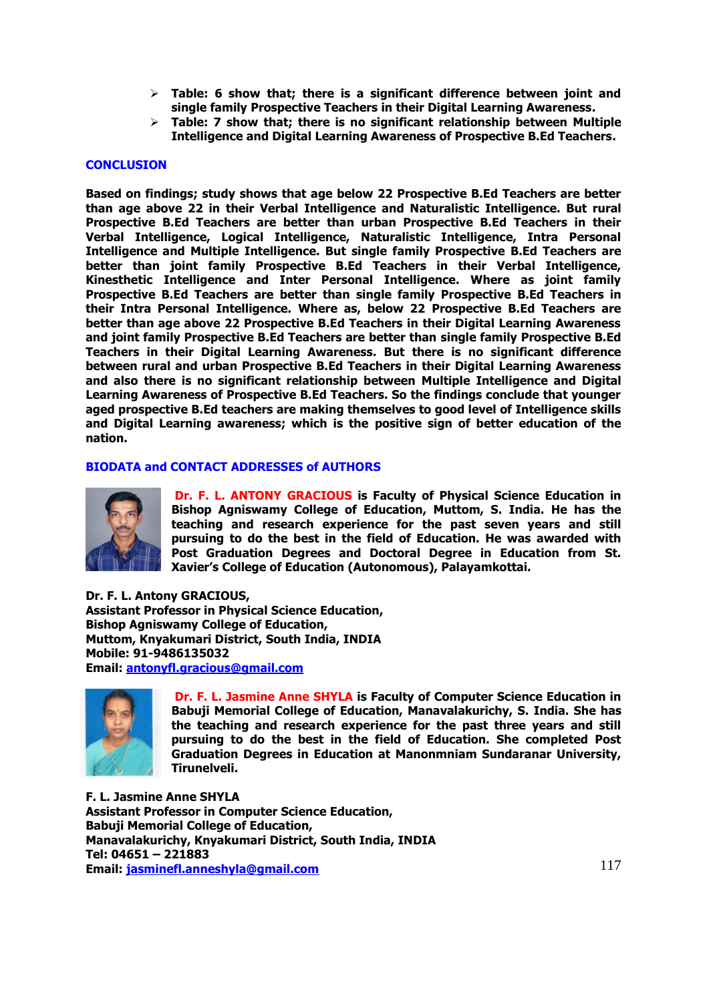- **Table: 6 show that; there is a significant difference between joint and single family Prospective Teachers in their Digital Learning Awareness.**
- **Table: 7 show that; there is no significant relationship between Multiple Intelligence and Digital Learning Awareness of Prospective B.Ed Teachers.**

#### **CONCLUSION**

**Based on findings; study shows that age below 22 Prospective B.Ed Teachers are better than age above 22 in their Verbal Intelligence and Naturalistic Intelligence. But rural Prospective B.Ed Teachers are better than urban Prospective B.Ed Teachers in their Verbal Intelligence, Logical Intelligence, Naturalistic Intelligence, Intra Personal Intelligence and Multiple Intelligence. But single family Prospective B.Ed Teachers are better than joint family Prospective B.Ed Teachers in their Verbal Intelligence, Kinesthetic Intelligence and Inter Personal Intelligence. Where as joint family Prospective B.Ed Teachers are better than single family Prospective B.Ed Teachers in their Intra Personal Intelligence. Where as, below 22 Prospective B.Ed Teachers are better than age above 22 Prospective B.Ed Teachers in their Digital Learning Awareness and joint family Prospective B.Ed Teachers are better than single family Prospective B.Ed Teachers in their Digital Learning Awareness. But there is no significant difference between rural and urban Prospective B.Ed Teachers in their Digital Learning Awareness and also there is no significant relationship between Multiple Intelligence and Digital Learning Awareness of Prospective B.Ed Teachers. So the findings conclude that younger aged prospective B.Ed teachers are making themselves to good level of Intelligence skills and Digital Learning awareness; which is the positive sign of better education of the nation.** 

#### **BIODATA and CONTACT ADDRESSES of AUTHORS**



**Dr. F. L. ANTONY GRACIOUS is Faculty of Physical Science Education in Bishop Agniswamy College of Education, Muttom, S. India. He has the teaching and research experience for the past seven years and still pursuing to do the best in the field of Education. He was awarded with Post Graduation Degrees and Doctoral Degree in Education from St. Xavier's College of Education (Autonomous), Palayamkottai.**

**Dr. F. L. Antony GRACIOUS, Assistant Professor in Physical Science Education, Bishop Agniswamy College of Education, Muttom, Knyakumari District, South India, INDIA Mobile: 91-9486135032 Email: [antonyfl.gracious@gmail.com](mailto:antonyfl.gracious@gmail.com)** 



 **Dr. F. L. Jasmine Anne SHYLA is Faculty of Computer Science Education in Babuji Memorial College of Education, Manavalakurichy, S. India. She has the teaching and research experience for the past three years and still pursuing to do the best in the field of Education. She completed Post Graduation Degrees in Education at Manonmniam Sundaranar University, Tirunelveli.** 

**F. L. Jasmine Anne SHYLA Assistant Professor in Computer Science Education, Babuji Memorial College of Education, Manavalakurichy, Knyakumari District, South India, INDIA Tel: 04651 – 221883 Email:** *78H***[jasminefl.anneshyla@gmail.com](mailto:jasminefl.anneshyla@gmail.com)**